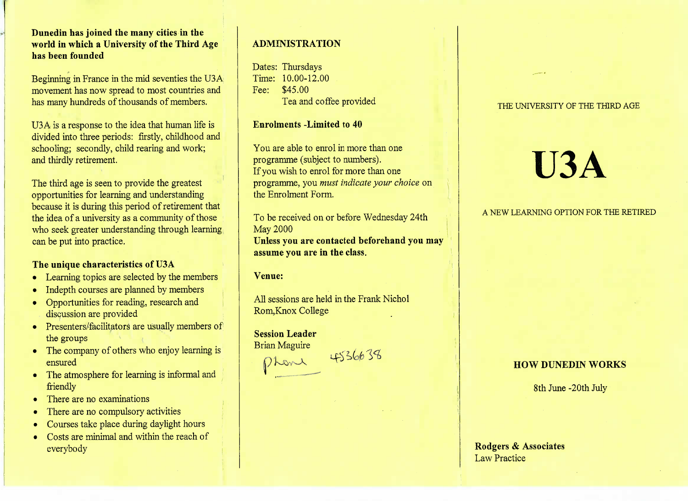**Dunedin has joined the many cities in the world in which a University of the Third Agehas been founded**

Beginning in France in the mid seventies the USA movement has now spread to most countries andhas many hundreds of thousands of members.

U3A is a response to the idea that human life is divided into three periods: firstly, childhood andschooling; secondly, child rearing and work;and thirdly retirement.

The third age is seen to provide the greatest opportunities for learning and understanding because it is during this period of retirement that the idea of a university as a community of those who seek greater understanding through learningcan be put into practice.

### **The unique characteristics of U3A**

- Learning topics are selected by the members
- Indepth courses are planned by members
- Opportunities for reading, research anddiscussion are provided
- Presenters/facilitators are usually members ofthe groups
- The company of others who enjoy learning isensured
- The atmosphere for learning is informal andfriendly
- There are no examinations
- There are no compulsory activities
- Courses take place during daylight hours
- Costs are minimal and within the reach of everybody

### **ADMINISTRATION**

Dates: Thursdays Time: 10.00-12.00Fee: \$45.00Tea and coffee provided

### **Enrolments -Limited to 40**

You are able to enrol in more than oneprogramme (subject to numbers). If you wish to enrol for more than one programme, you *must indicate your choice* onthe Enrolment Form.

To be received on or before Wednesday 24thMay 2000 **Unless you are contacted beforehand you mayassume you are in the class.**

### **Venue:**

All sessions are held in the Frank NicholRom,Knox College

## **Session Leader**Brian Maguire

### THE UNIVERSITY OF THE THIRD AGE

# **U3A**

### A NEW LEARNING OPTION FOR THE RETIRED

# Brian Maguire<br>
Phan 4536638<br> **HOW DUNEDIN WORKS**

8th June -20th July

### **Rodgers & Associates**Law Practice